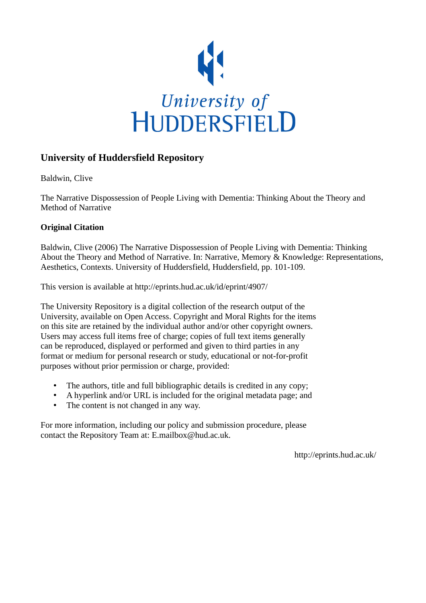

# **University of Huddersfield Repository**

Baldwin, Clive

The Narrative Dispossession of People Living with Dementia: Thinking About the Theory and Method of Narrative

# **Original Citation**

Baldwin, Clive (2006) The Narrative Dispossession of People Living with Dementia: Thinking About the Theory and Method of Narrative. In: Narrative, Memory & Knowledge: Representations, Aesthetics, Contexts. University of Huddersfield, Huddersfield, pp. 101-109.

This version is available at http://eprints.hud.ac.uk/id/eprint/4907/

The University Repository is a digital collection of the research output of the University, available on Open Access. Copyright and Moral Rights for the items on this site are retained by the individual author and/or other copyright owners. Users may access full items free of charge; copies of full text items generally can be reproduced, displayed or performed and given to third parties in any format or medium for personal research or study, educational or not-for-profit purposes without prior permission or charge, provided:

- The authors, title and full bibliographic details is credited in any copy;
- A hyperlink and/or URL is included for the original metadata page; and
- The content is not changed in any way.

For more information, including our policy and submission procedure, please contact the Repository Team at: E.mailbox@hud.ac.uk.

http://eprints.hud.ac.uk/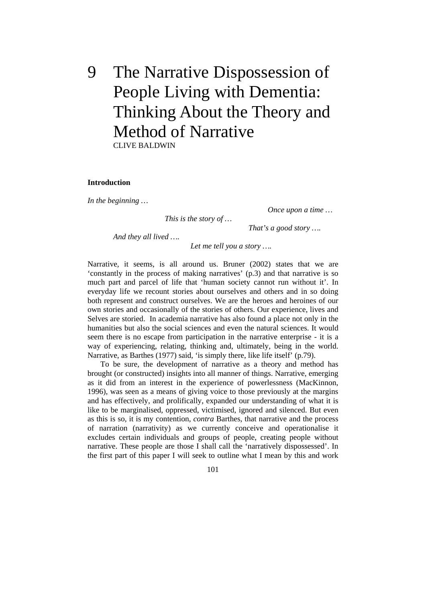# 9 The Narrative Dispossession of People Living with Dementia: Thinking About the Theory and Method of Narrative CLIVE BALDWIN

#### **Introduction**

*In the beginning …* 

 *This is the story of …* 

 *Once upon a time …* 

 *And they all lived ….* 

 *That's a good story ….* 

 *Let me tell you a story ….* 

Narrative, it seems, is all around us. Bruner (2002) states that we are 'constantly in the process of making narratives' (p.3) and that narrative is so much part and parcel of life that 'human society cannot run without it'. In everyday life we recount stories about ourselves and others and in so doing both represent and construct ourselves. We are the heroes and heroines of our own stories and occasionally of the stories of others. Our experience, lives and Selves are storied. In academia narrative has also found a place not only in the humanities but also the social sciences and even the natural sciences. It would seem there is no escape from participation in the narrative enterprise - it is a way of experiencing, relating, thinking and, ultimately, being in the world. Narrative, as Barthes (1977) said, 'is simply there, like life itself' (p.79).

 To be sure, the development of narrative as a theory and method has brought (or constructed) insights into all manner of things. Narrative, emerging as it did from an interest in the experience of powerlessness (MacKinnon, 1996), was seen as a means of giving voice to those previously at the margins and has effectively, and prolifically, expanded our understanding of what it is like to be marginalised, oppressed, victimised, ignored and silenced. But even as this is so, it is my contention, *contra* Barthes, that narrative and the process of narration (narrativity) as we currently conceive and operationalise it excludes certain individuals and groups of people, creating people without narrative. These people are those I shall call the 'narratively dispossessed'. In the first part of this paper I will seek to outline what I mean by this and work

101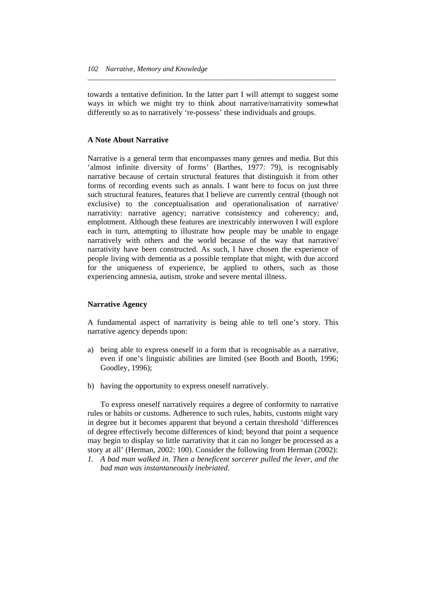towards a tentative definition. In the latter part I will attempt to suggest some ways in which we might try to think about narrative/narrativity somewhat differently so as to narratively 're-possess' these individuals and groups.

*\_\_\_\_\_\_\_\_\_\_\_\_\_\_\_\_\_\_\_\_\_\_\_\_\_\_\_\_\_\_\_\_\_\_\_\_\_\_\_\_\_\_\_\_\_\_\_\_\_\_\_\_\_\_\_\_\_\_\_\_\_\_\_\_\_\_\_\_\_* 

## **A Note About Narrative**

Narrative is a general term that encompasses many genres and media. But this 'almost infinite diversity of forms' (Barthes, 1977: 79), is recognisably narrative because of certain structural features that distinguish it from other forms of recording events such as annals. I want here to focus on just three such structural features, features that I believe are currently central (though not exclusive) to the conceptualisation and operationalisation of narrative/ narrativity: narrative agency; narrative consistency and coherency; and, emplotment. Although these features are inextricably interwoven I will explore each in turn, attempting to illustrate how people may be unable to engage narratively with others and the world because of the way that narrative/ narrativity have been constructed. As such, I have chosen the experience of people living with dementia as a possible template that might, with due accord for the uniqueness of experience, be applied to others, such as those experiencing amnesia, autism, stroke and severe mental illness.

# **Narrative Agency**

A fundamental aspect of narrativity is being able to tell one's story. This narrative agency depends upon:

- a) being able to express oneself in a form that is recognisable as a narrative, even if one's linguistic abilities are limited (see Booth and Booth, 1996; Goodley, 1996);
- b) having the opportunity to express oneself narratively.

 To express oneself narratively requires a degree of conformity to narrative rules or habits or customs. Adherence to such rules, habits, customs might vary in degree but it becomes apparent that beyond a certain threshold 'differences of degree effectively become differences of kind; beyond that point a sequence may begin to display so little narrativity that it can no longer be processed as a story at all' (Herman, 2002: 100). Consider the following from Herman (2002):

*<sup>1.</sup> A bad man walked in. Then a beneficent sorcerer pulled the lever, and the bad man was instantaneously inebriated.*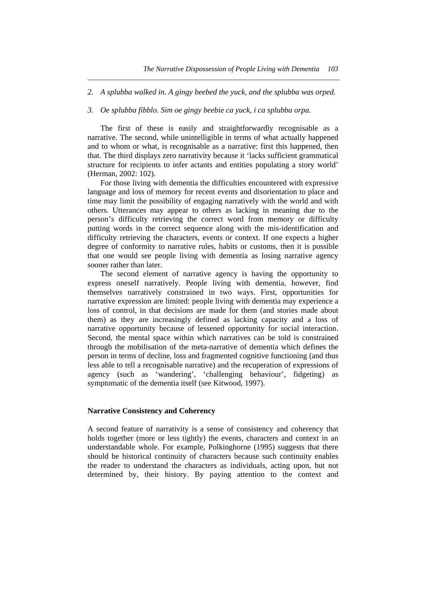*2. A splubba walked in. A gingy beebed the yuck, and the splubba was orped.* 

*\_\_\_\_\_\_\_\_\_\_\_\_\_\_\_\_\_\_\_\_\_\_\_\_\_\_\_\_\_\_\_\_\_\_\_\_\_\_\_\_\_\_\_\_\_\_\_\_\_\_\_\_\_\_\_\_\_\_\_\_\_\_\_\_\_\_\_\_\_\_* 

### *3. Oe splubba fibblo. Sim oe gingy beebie ca yuck, i ca splubba orpa.*

 The first of these is easily and straightforwardly recognisable as a narrative. The second, while unintelligible in terms of what actually happened and to whom or what, is recognisable as a narrative: first this happened, then that. The third displays zero narrativity because it 'lacks sufficient grammatical structure for recipients to infer actants and entities populating a story world' (Herman, 2002: 102).

 For those living with dementia the difficulties encountered with expressive language and loss of memory for recent events and disorientation to place and time may limit the possibility of engaging narratively with the world and with others. Utterances may appear to others as lacking in meaning due to the person's difficulty retrieving the correct word from memory or difficulty putting words in the correct sequence along with the mis-identification and difficulty retrieving the characters, events or context. If one expects a higher degree of conformity to narrative rules, habits or customs, then it is possible that one would see people living with dementia as losing narrative agency sooner rather than later.

 The second element of narrative agency is having the opportunity to express oneself narratively. People living with dementia, however, find themselves narratively constrained in two ways. First, opportunities for narrative expression are limited: people living with dementia may experience a loss of control, in that decisions are made for them (and stories made about them) as they are increasingly defined as lacking capacity and a loss of narrative opportunity because of lessened opportunity for social interaction. Second, the mental space within which narratives can be told is constrained through the mobilisation of the meta-narrative of dementia which defines the person in terms of decline, loss and fragmented cognitive functioning (and thus less able to tell a recognisable narrative) and the recuperation of expressions of agency (such as 'wandering', 'challenging behaviour', fidgeting) as symptomatic of the dementia itself (see Kitwood, 1997).

# **Narrative Consistency and Coherency**

A second feature of narrativity is a sense of consistency and coherency that holds together (more or less tightly) the events, characters and context in an understandable whole. For example, Polkinghorne (1995) suggests that there should be historical continuity of characters because such continuity enables the reader to understand the characters as individuals, acting upon, but not determined by, their history. By paying attention to the context and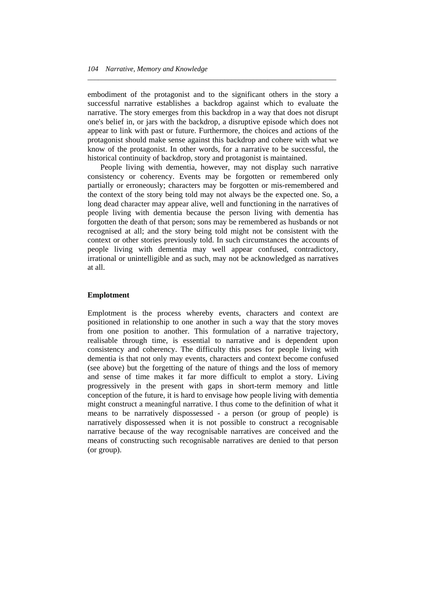embodiment of the protagonist and to the significant others in the story a successful narrative establishes a backdrop against which to evaluate the narrative. The story emerges from this backdrop in a way that does not disrupt one's belief in, or jars with the backdrop, a disruptive episode which does not appear to link with past or future. Furthermore, the choices and actions of the protagonist should make sense against this backdrop and cohere with what we know of the protagonist. In other words, for a narrative to be successful, the historical continuity of backdrop, story and protagonist is maintained.

*\_\_\_\_\_\_\_\_\_\_\_\_\_\_\_\_\_\_\_\_\_\_\_\_\_\_\_\_\_\_\_\_\_\_\_\_\_\_\_\_\_\_\_\_\_\_\_\_\_\_\_\_\_\_\_\_\_\_\_\_\_\_\_\_\_\_\_\_\_* 

 People living with dementia, however, may not display such narrative consistency or coherency. Events may be forgotten or remembered only partially or erroneously; characters may be forgotten or mis-remembered and the context of the story being told may not always be the expected one. So, a long dead character may appear alive, well and functioning in the narratives of people living with dementia because the person living with dementia has forgotten the death of that person; sons may be remembered as husbands or not recognised at all; and the story being told might not be consistent with the context or other stories previously told. In such circumstances the accounts of people living with dementia may well appear confused, contradictory, irrational or unintelligible and as such, may not be acknowledged as narratives at all.

### **Emplotment**

Emplotment is the process whereby events, characters and context are positioned in relationship to one another in such a way that the story moves from one position to another. This formulation of a narrative trajectory, realisable through time, is essential to narrative and is dependent upon consistency and coherency. The difficulty this poses for people living with dementia is that not only may events, characters and context become confused (see above) but the forgetting of the nature of things and the loss of memory and sense of time makes it far more difficult to emplot a story. Living progressively in the present with gaps in short-term memory and little conception of the future, it is hard to envisage how people living with dementia might construct a meaningful narrative. I thus come to the definition of what it means to be narratively dispossessed - a person (or group of people) is narratively dispossessed when it is not possible to construct a recognisable narrative because of the way recognisable narratives are conceived and the means of constructing such recognisable narratives are denied to that person (or group).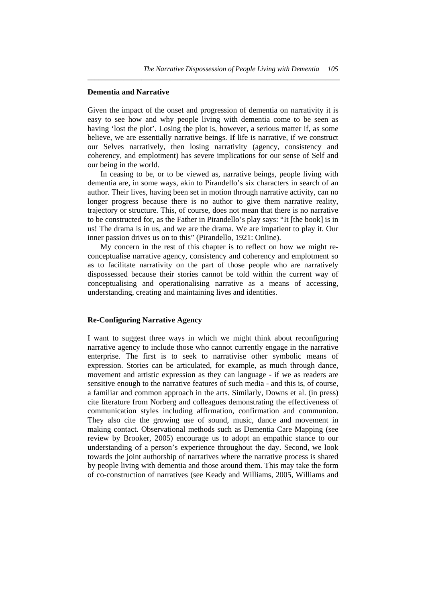## **Dementia and Narrative**

Given the impact of the onset and progression of dementia on narrativity it is easy to see how and why people living with dementia come to be seen as having 'lost the plot'. Losing the plot is, however, a serious matter if, as some believe, we are essentially narrative beings. If life is narrative, if we construct our Selves narratively, then losing narrativity (agency, consistency and coherency, and emplotment) has severe implications for our sense of Self and our being in the world.

*\_\_\_\_\_\_\_\_\_\_\_\_\_\_\_\_\_\_\_\_\_\_\_\_\_\_\_\_\_\_\_\_\_\_\_\_\_\_\_\_\_\_\_\_\_\_\_\_\_\_\_\_\_\_\_\_\_\_\_\_\_\_\_\_\_\_\_\_\_\_* 

 In ceasing to be, or to be viewed as, narrative beings, people living with dementia are, in some ways, akin to Pirandello's six characters in search of an author. Their lives, having been set in motion through narrative activity, can no longer progress because there is no author to give them narrative reality, trajectory or structure. This, of course, does not mean that there is no narrative to be constructed for, as the Father in Pirandello's play says: "It [the book] is in us! The drama is in us, and we are the drama. We are impatient to play it. Our inner passion drives us on to this" (Pirandello, 1921: Online).

 My concern in the rest of this chapter is to reflect on how we might reconceptualise narrative agency, consistency and coherency and emplotment so as to facilitate narrativity on the part of those people who are narratively dispossessed because their stories cannot be told within the current way of conceptualising and operationalising narrative as a means of accessing, understanding, creating and maintaining lives and identities.

# **Re-Configuring Narrative Agency**

I want to suggest three ways in which we might think about reconfiguring narrative agency to include those who cannot currently engage in the narrative enterprise. The first is to seek to narrativise other symbolic means of expression. Stories can be articulated, for example, as much through dance, movement and artistic expression as they can language - if we as readers are sensitive enough to the narrative features of such media - and this is, of course, a familiar and common approach in the arts. Similarly, Downs et al. (in press) cite literature from Norberg and colleagues demonstrating the effectiveness of communication styles including affirmation, confirmation and communion. They also cite the growing use of sound, music, dance and movement in making contact. Observational methods such as Dementia Care Mapping (see review by Brooker, 2005) encourage us to adopt an empathic stance to our understanding of a person's experience throughout the day. Second, we look towards the joint authorship of narratives where the narrative process is shared by people living with dementia and those around them. This may take the form of co-construction of narratives (see Keady and Williams, 2005, Williams and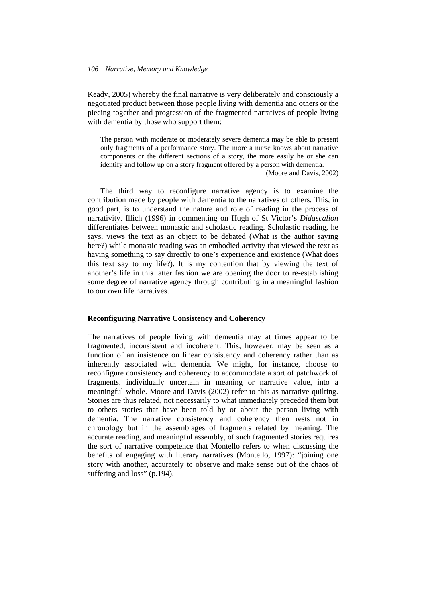Keady, 2005) whereby the final narrative is very deliberately and consciously a negotiated product between those people living with dementia and others or the piecing together and progression of the fragmented narratives of people living with dementia by those who support them:

*\_\_\_\_\_\_\_\_\_\_\_\_\_\_\_\_\_\_\_\_\_\_\_\_\_\_\_\_\_\_\_\_\_\_\_\_\_\_\_\_\_\_\_\_\_\_\_\_\_\_\_\_\_\_\_\_\_\_\_\_\_\_\_\_\_\_\_\_\_* 

The person with moderate or moderately severe dementia may be able to present only fragments of a performance story. The more a nurse knows about narrative components or the different sections of a story, the more easily he or she can identify and follow up on a story fragment offered by a person with dementia.

(Moore and Davis, 2002)

 The third way to reconfigure narrative agency is to examine the contribution made by people with dementia to the narratives of others. This, in good part, is to understand the nature and role of reading in the process of narrativity. Illich (1996) in commenting on Hugh of St Victor's *Didascalion* differentiates between monastic and scholastic reading. Scholastic reading, he says, views the text as an object to be debated (What is the author saying here?) while monastic reading was an embodied activity that viewed the text as having something to say directly to one's experience and existence (What does this text say to my life?). It is my contention that by viewing the text of another's life in this latter fashion we are opening the door to re-establishing some degree of narrative agency through contributing in a meaningful fashion to our own life narratives.

# **Reconfiguring Narrative Consistency and Coherency**

The narratives of people living with dementia may at times appear to be fragmented, inconsistent and incoherent. This, however, may be seen as a function of an insistence on linear consistency and coherency rather than as inherently associated with dementia. We might, for instance, choose to reconfigure consistency and coherency to accommodate a sort of patchwork of fragments, individually uncertain in meaning or narrative value, into a meaningful whole. Moore and Davis (2002) refer to this as narrative quilting. Stories are thus related, not necessarily to what immediately preceded them but to others stories that have been told by or about the person living with dementia. The narrative consistency and coherency then rests not in chronology but in the assemblages of fragments related by meaning. The accurate reading, and meaningful assembly, of such fragmented stories requires the sort of narrative competence that Montello refers to when discussing the benefits of engaging with literary narratives (Montello, 1997): "joining one story with another, accurately to observe and make sense out of the chaos of suffering and loss" (p.194).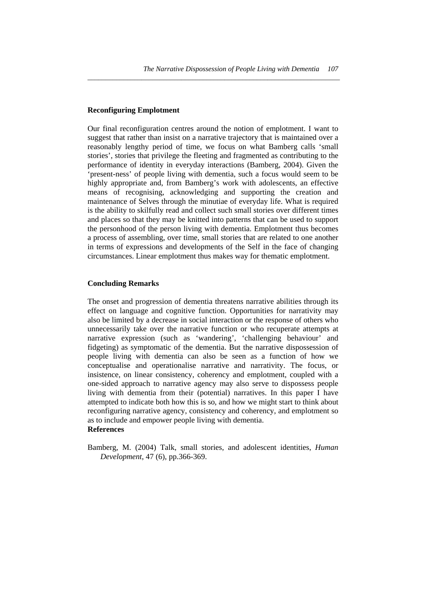# **Reconfiguring Emplotment**

Our final reconfiguration centres around the notion of emplotment. I want to suggest that rather than insist on a narrative trajectory that is maintained over a reasonably lengthy period of time, we focus on what Bamberg calls 'small stories', stories that privilege the fleeting and fragmented as contributing to the performance of identity in everyday interactions (Bamberg, 2004). Given the 'present-ness' of people living with dementia, such a focus would seem to be highly appropriate and, from Bamberg's work with adolescents, an effective means of recognising, acknowledging and supporting the creation and maintenance of Selves through the minutiae of everyday life. What is required is the ability to skilfully read and collect such small stories over different times and places so that they may be knitted into patterns that can be used to support the personhood of the person living with dementia. Emplotment thus becomes a process of assembling, over time, small stories that are related to one another in terms of expressions and developments of the Self in the face of changing circumstances. Linear emplotment thus makes way for thematic emplotment.

*\_\_\_\_\_\_\_\_\_\_\_\_\_\_\_\_\_\_\_\_\_\_\_\_\_\_\_\_\_\_\_\_\_\_\_\_\_\_\_\_\_\_\_\_\_\_\_\_\_\_\_\_\_\_\_\_\_\_\_\_\_\_\_\_\_\_\_\_\_\_* 

# **Concluding Remarks**

The onset and progression of dementia threatens narrative abilities through its effect on language and cognitive function. Opportunities for narrativity may also be limited by a decrease in social interaction or the response of others who unnecessarily take over the narrative function or who recuperate attempts at narrative expression (such as 'wandering', 'challenging behaviour' and fidgeting) as symptomatic of the dementia. But the narrative dispossession of people living with dementia can also be seen as a function of how we conceptualise and operationalise narrative and narrativity. The focus, or insistence, on linear consistency, coherency and emplotment, coupled with a one-sided approach to narrative agency may also serve to dispossess people living with dementia from their (potential) narratives. In this paper I have attempted to indicate both how this is so, and how we might start to think about reconfiguring narrative agency, consistency and coherency, and emplotment so as to include and empower people living with dementia. **References** 

Bamberg, M. (2004) Talk, small stories, and adolescent identities, *Human Development*, 47 (6), pp.366-369.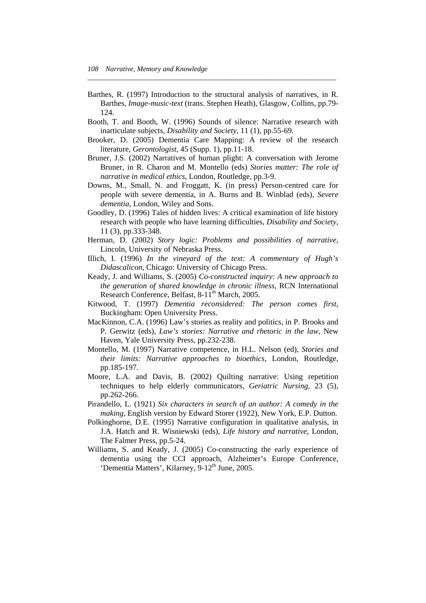Barthes, R. (1997) Introduction to the structural analysis of narratives, in R. Barthes, *Image-music-text* (trans. Stephen Heath), Glasgow, Collins, pp.79- 124.

*\_\_\_\_\_\_\_\_\_\_\_\_\_\_\_\_\_\_\_\_\_\_\_\_\_\_\_\_\_\_\_\_\_\_\_\_\_\_\_\_\_\_\_\_\_\_\_\_\_\_\_\_\_\_\_\_\_\_\_\_\_\_\_\_\_\_\_\_\_* 

- Booth, T. and Booth, W. (1996) Sounds of silence: Narrative research with inarticulate subjects, *Disability and Society*, 11 (1), pp.55-69.
- Brooker, D. (2005) Dementia Care Mapping: A review of the research literature, *Gerontologist*, 45 (Supp. 1), pp.11-18.
- Bruner, J.S. (2002) Narratives of human plight: A conversation with Jerome Bruner, in R. Charon and M. Montello (eds) *Stories matter: The role of narrative in medical ethics*, London, Routledge, pp.3-9.
- Downs, M., Small, N. and Froggatt, K. (in press) Person-centred care for people with severe dementia, in A. Burns and B. Winblad (eds), *Severe dementia*, London, Wiley and Sons.
- Goodley, D. (1996) Tales of hidden lives: A critical examination of life history research with people who have learning difficulties, *Disability and Society*, 11 (3), pp.333-348.
- Herman, D. (2002) *Story logic: Problems and possibilities of narrative*, Lincoln, University of Nebraska Press.
- Illich, I. (1996) *In the vineyard of the text: A commentary of Hugh's Didascalicon*, Chicago: University of Chicago Press.
- Keady, J. and Williams, S. (2005) *Co-constructed inquiry: A new approach to the generation of shared knowledge in chronic illness*, RCN International Research Conference, Belfast, 8-11<sup>th</sup> March, 2005.
- Kitwood, T. (1997) *Dementia reconsidered: The person comes first*, Buckingham: Open University Press.
- MacKinnon, C.A. (1996) Law's stories as reality and politics, in P. Brooks and P. Gerwitz (eds), *Law's stories: Narrative and rhetoric in the law*, New Haven, Yale University Press, pp.232-238.
- Montello, M. (1997) Narrative competence, in H.L. Nelson (ed), *Stories and their limits: Narrative approaches to bioethics*, London, Routledge, pp.185-197.
- Moore, L.A. and Davis, B. (2002) Quilting narrative: Using repetition techniques to help elderly communicators, *Geriatric Nursing*, 23 (5), pp.262-266.
- Pirandello, L. (1921) *Six characters in search of an author: A comedy in the making*, English version by Edward Storer (1922), New York, E.P. Dutton.
- Polkinghorne, D.E. (1995) Narrative configuration in qualitative analysis, in J.A. Hatch and R. Wisniewski (eds), *Life history and narrative*, London, The Falmer Press, pp.5-24.
- Williams, S. and Keady, J. (2005) Co-constructing the early experience of dementia using the CCI approach, Alzheimer's Europe Conference, 'Dementia Matters', Kilarney, 9-12<sup>th</sup> June, 2005.